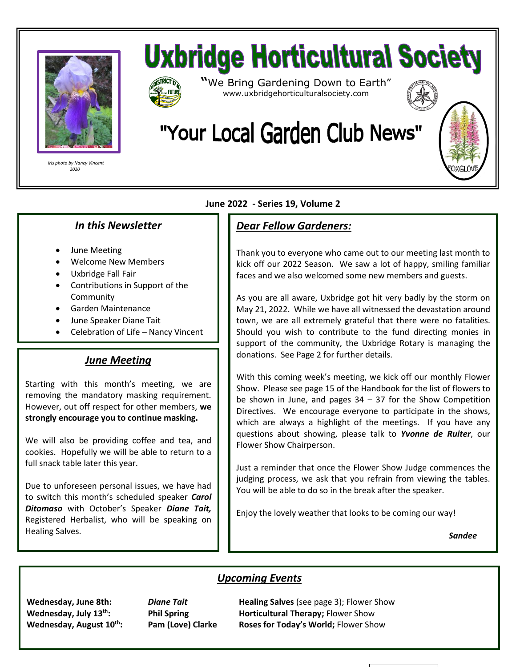

 *Iris photo by Nancy Vincent 2020*

# **Uxbridge Horticultural Society**



**"**We Bring Gardening Down to Earth" www.uxbridgehorticulturalsociety.com



# "Your Local Garden Club News"

# *In this Newsletter*

- June Meeting
- Welcome New Members
- Uxbridge Fall Fair
- Contributions in Support of the Community
- Garden Maintenance
- June Speaker Diane Tait
- Celebration of Life Nancy Vincent

#### *June Meeting*

Starting with this month's meeting, we are removing the mandatory masking requirement. However, out off respect for other members, **we strongly encourage you to continue masking.**

We will also be providing coffee and tea, and cookies. Hopefully we will be able to return to a full snack table later this year.

Due to unforeseen personal issues, we have had to switch this month's scheduled speaker *Carol Ditomaso* with October's Speaker *Diane Tait,* Registered Herbalist, who will be speaking on Healing Salves.

#### **June 2022 - Series 19, Volume 2**

## *Dear Fellow Gardeners:*

Thank you to everyone who came out to our meeting last month to kick off our 2022 Season. We saw a lot of happy, smiling familiar faces and we also welcomed some new members and guests.

As you are all aware, Uxbridge got hit very badly by the storm on May 21, 2022. While we have all witnessed the devastation around town, we are all extremely grateful that there were no fatalities. Should you wish to contribute to the fund directing monies in support of the community, the Uxbridge Rotary is managing the donations. See Page 2 for further details.

With this coming week's meeting, we kick off our monthly Flower Show. Please see page 15 of the Handbook for the list of flowers to be shown in June, and pages  $34 - 37$  for the Show Competition Directives. We encourage everyone to participate in the shows, which are always a highlight of the meetings. If you have any questions about showing, please talk to *Yvonne de Ruiter*, our Flower Show Chairperson.

Just a reminder that once the Flower Show Judge commences the judging process, we ask that you refrain from viewing the tables. You will be able to do so in the break after the speaker.

Enjoy the lovely weather that looks to be coming our way!

*Sandee*

## *Upcoming Events*

**Wednesday, June 8th:** *Diane Tait* **Healing Salves** (see page 3); Flower Show **Wednesday, July 13<sup>th</sup>: Phil Spring <b>Horticultural Therapy**; Flower Show **Wednesday, August 10th: Pam (Love) Clarke Roses for Today's World;** Flower Show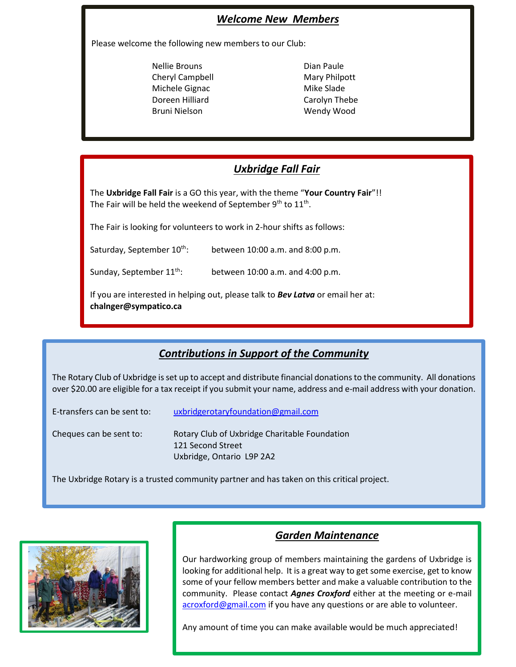#### *Welcome New Members*

Please welcome the following new members to our Club:

- Nellie Brouns **Dian Paule** Cheryl Campbell Mary Philpott Michele Gignac Mike Slade Doreen Hilliard Carolyn Thebe Bruni Nielson Wendy Wood
	-

#### *Uxbridge Fall Fair*

The **Uxbridge Fall Fair** is a GO this year, with the theme "**Your Country Fair**"!! The Fair will be held the weekend of September  $9^{\text{th}}$  to  $11^{\text{th}}$ .

The Fair is looking for volunteers to work in 2-hour shifts as follows:

Saturday, September  $10^{th}$ : between 10:00 a.m. and 8:00 p.m.

Sunday, September 11<sup>th</sup>: between 10:00 a.m. and 4:00 p.m.

If you are interested in helping out, please talk to *Bev Latva* or email her at: **chalnger@sympatico.ca**

#### *Contributions in Support of the Community*

The Rotary Club of Uxbridge is set up to accept and distribute financial donations to the community. All donations over \$20.00 are eligible for a tax receipt if you submit your name, address and e-mail address with your donation.

| E-transfers can be sent to: | uxbridgerotaryfoundation@gmail.com                                 |
|-----------------------------|--------------------------------------------------------------------|
| Cheques can be sent to:     | Rotary Club of Uxbridge Charitable Foundation<br>121 Second Street |
|                             | Uxbridge, Ontario L9P 2A2                                          |

The Uxbridge Rotary is a trusted community partner and has taken on this critical project.



#### *Garden Maintenance*

Our hardworking group of members maintaining the gardens of Uxbridge is looking for additional help. It is a great way to get some exercise, get to know some of your fellow members better and make a valuable contribution to the community. Please contact *Agnes Croxford* either at the meeting or e-mail [acroxford@gmail.com](mailto:acroxford@gmail.com) if you have any questions or are able to volunteer.

Any amount of time you can make available would be much appreciated!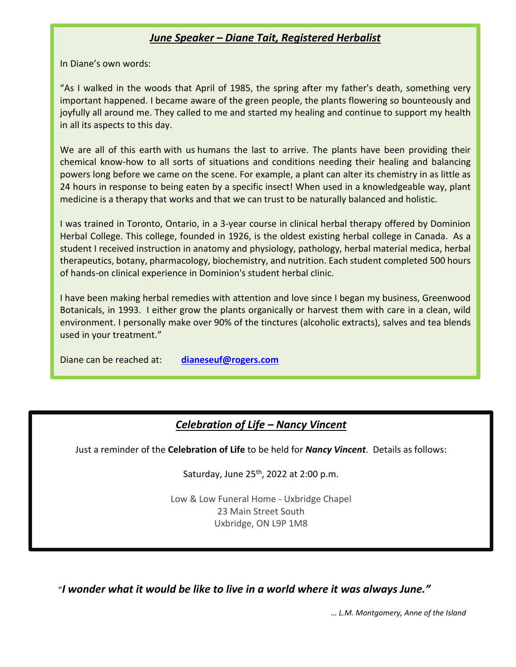#### *June Speaker – Diane Tait, Registered Herbalist*

In Diane's own words:

"As I walked in the woods that April of 1985, the spring after my father's death, something very important happened. I became aware of the green people, the plants flowering so bounteously and joyfully all around me. They called to me and started my healing and continue to support my health in all its aspects to this day.

We are all of this earth with us humans the last to arrive. The plants have been providing their chemical know-how to all sorts of situations and conditions needing their healing and balancing powers long before we came on the scene. For example, a plant can alter its chemistry in as little as 24 hours in response to being eaten by a specific insect! When used in a knowledgeable way, plant medicine is a therapy that works and that we can trust to be naturally balanced and holistic.

I was trained in Toronto, Ontario, in a 3-year course in clinical herbal therapy offered by Dominion Herbal College. This college, founded in 1926, is the oldest existing herbal college in Canada. As a student I received instruction in anatomy and physiology, pathology, herbal material medica, herbal therapeutics, botany, pharmacology, biochemistry, and nutrition. Each student completed 500 hours of hands-on clinical experience in Dominion's student herbal clinic.

I have been making herbal remedies with attention and love since I began my business, Greenwood Botanicals, in 1993. I either grow the plants organically or harvest them with care in a clean, wild environment. I personally make over 90% of the tinctures (alcoholic extracts), salves and tea blends used in your treatment."

Diane can be reached at: **[dianeseuf@rogers.com](mailto:dianeseuf@rogers.com)**

#### *Celebration of Life – Nancy Vincent*

Just a reminder of the **Celebration of Life** to be held for *Nancy Vincent*. Details as follows:

Saturday, June  $25<sup>th</sup>$ , 2022 at 2:00 p.m.

Low & Low Funeral Home - Uxbridge Chapel 23 Main Street South Uxbridge, ON L9P 1M8

"*I wonder what it would be like to live in a world where it was always June."*

*… L.M. Montgomery, Anne of the Island*